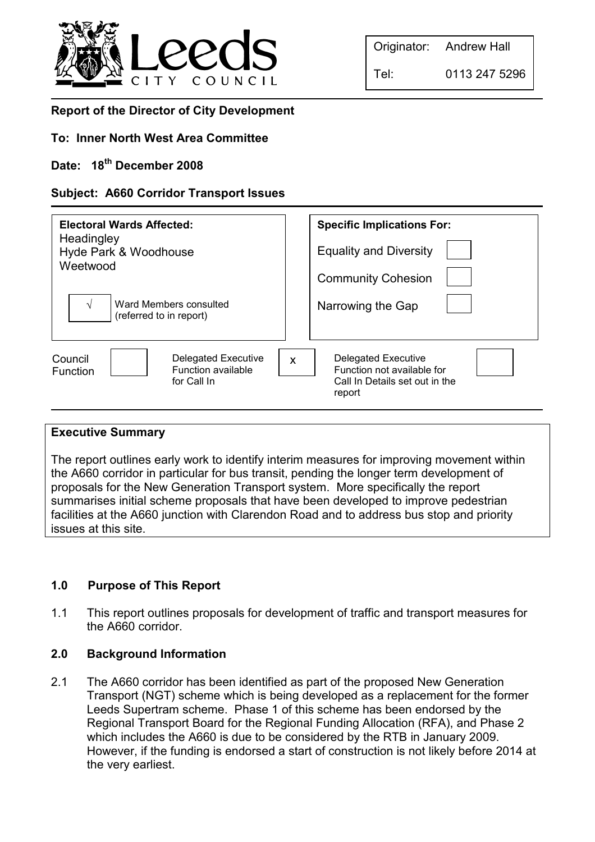

Tel: 0113 247 5296

# Report of the Director of City Development

### To: Inner North West Area Committee

# Date: 18<sup>th</sup> December 2008

### Subject: A660 Corridor Transport Issues

| Electoral Wards Affected:<br>Headingley<br>Hyde Park & Woodhouse<br>Weetwood<br>Ward Members consulted<br>N<br>(referred to in report) | <b>Specific Implications For:</b><br><b>Equality and Diversity</b><br><b>Community Cohesion</b><br>Narrowing the Gap |
|----------------------------------------------------------------------------------------------------------------------------------------|----------------------------------------------------------------------------------------------------------------------|
| <b>Delegated Executive</b>                                                                                                             | Delegated Executive                                                                                                  |
| Council                                                                                                                                | $\mathsf{x}$                                                                                                         |
| Function available                                                                                                                     | Function not available for                                                                                           |
| <b>Function</b>                                                                                                                        | Call In Details set out in the                                                                                       |
| for Call In                                                                                                                            | report                                                                                                               |

#### Executive Summary

The report outlines early work to identify interim measures for improving movement within the A660 corridor in particular for bus transit, pending the longer term development of proposals for the New Generation Transport system. More specifically the report summarises initial scheme proposals that have been developed to improve pedestrian facilities at the A660 junction with Clarendon Road and to address bus stop and priority issues at this site.

#### 1.0 Purpose of This Report

1.1 This report outlines proposals for development of traffic and transport measures for the A660 corridor.

#### 2.0 Background Information

2.1 The A660 corridor has been identified as part of the proposed New Generation Transport (NGT) scheme which is being developed as a replacement for the former Leeds Supertram scheme. Phase 1 of this scheme has been endorsed by the Regional Transport Board for the Regional Funding Allocation (RFA), and Phase 2 which includes the A660 is due to be considered by the RTB in January 2009. However, if the funding is endorsed a start of construction is not likely before 2014 at the very earliest.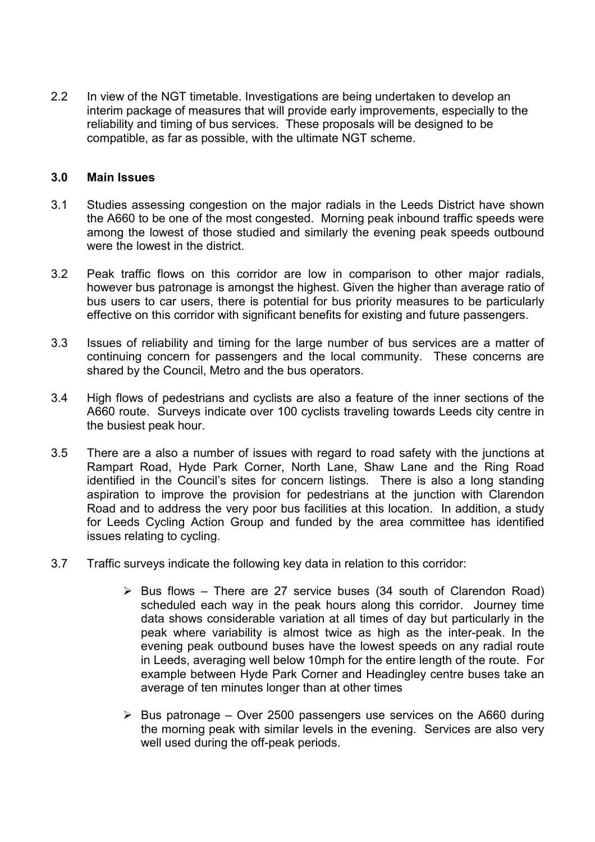2.2 In view of the NGT timetable. Investigations are being undertaken to develop an interim package of measures that will provide early improvements, especially to the reliability and timing of bus services. These proposals will be designed to be compatible, as far as possible, with the ultimate NGT scheme.

#### 3.0 Main Issues

- 3.1 Studies assessing congestion on the major radials in the Leeds District have shown the A660 to be one of the most congested. Morning peak inbound traffic speeds were among the lowest of those studied and similarly the evening peak speeds outbound were the lowest in the district.
- 3.2 Peak traffic flows on this corridor are low in comparison to other major radials, however bus patronage is amongst the highest. Given the higher than average ratio of bus users to car users, there is potential for bus priority measures to be particularly effective on this corridor with significant benefits for existing and future passengers.
- 3.3 Issues of reliability and timing for the large number of bus services are a matter of continuing concern for passengers and the local community. These concerns are shared by the Council, Metro and the bus operators.
- 3.4 High flows of pedestrians and cyclists are also a feature of the inner sections of the A660 route. Surveys indicate over 100 cyclists traveling towards Leeds city centre in the busiest peak hour.
- 3.5 There are a also a number of issues with regard to road safety with the junctions at Rampart Road, Hyde Park Corner, North Lane, Shaw Lane and the Ring Road identified in the Council's sites for concern listings. There is also a long standing aspiration to improve the provision for pedestrians at the junction with Clarendon Road and to address the very poor bus facilities at this location. In addition, a study for Leeds Cycling Action Group and funded by the area committee has identified issues relating to cycling.
- 3.7 Traffic surveys indicate the following key data in relation to this corridor:
	- $\triangleright$  Bus flows There are 27 service buses (34 south of Clarendon Road) scheduled each way in the peak hours along this corridor. Journey time data shows considerable variation at all times of day but particularly in the peak where variability is almost twice as high as the inter-peak. In the evening peak outbound buses have the lowest speeds on any radial route in Leeds, averaging well below 10mph for the entire length of the route. For example between Hyde Park Corner and Headingley centre buses take an average of ten minutes longer than at other times
	- $\triangleright$  Bus patronage Over 2500 passengers use services on the A660 during the morning peak with similar levels in the evening. Services are also very well used during the off-peak periods.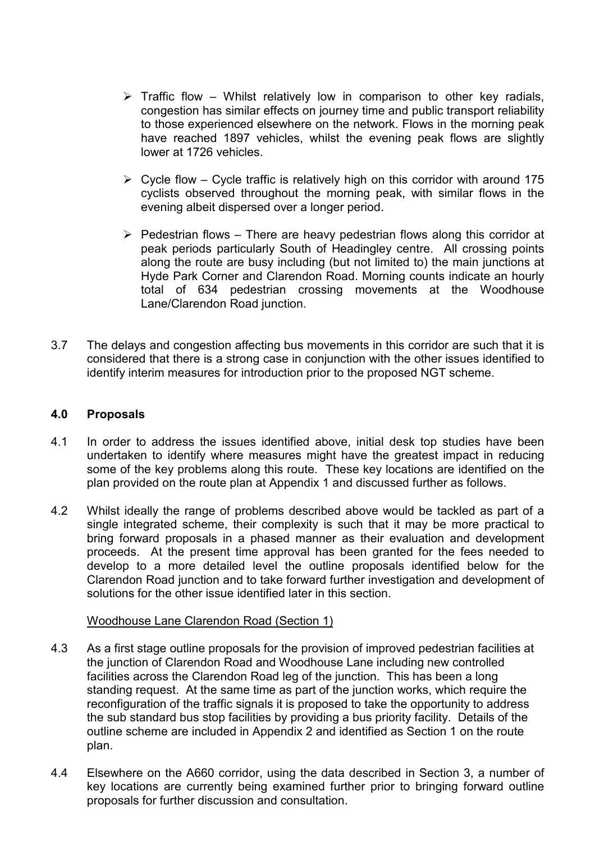- $\triangleright$  Traffic flow Whilst relatively low in comparison to other key radials, congestion has similar effects on journey time and public transport reliability to those experienced elsewhere on the network. Flows in the morning peak have reached 1897 vehicles, whilst the evening peak flows are slightly lower at 1726 vehicles.
- $\triangleright$  Cycle flow Cycle traffic is relatively high on this corridor with around 175 cyclists observed throughout the morning peak, with similar flows in the evening albeit dispersed over a longer period.
- $\triangleright$  Pedestrian flows There are heavy pedestrian flows along this corridor at peak periods particularly South of Headingley centre. All crossing points along the route are busy including (but not limited to) the main junctions at Hyde Park Corner and Clarendon Road. Morning counts indicate an hourly total of 634 pedestrian crossing movements at the Woodhouse Lane/Clarendon Road junction.
- 3.7 The delays and congestion affecting bus movements in this corridor are such that it is considered that there is a strong case in conjunction with the other issues identified to identify interim measures for introduction prior to the proposed NGT scheme.

#### 4.0 Proposals

- 4.1 In order to address the issues identified above, initial desk top studies have been undertaken to identify where measures might have the greatest impact in reducing some of the key problems along this route. These key locations are identified on the plan provided on the route plan at Appendix 1 and discussed further as follows.
- 4.2 Whilst ideally the range of problems described above would be tackled as part of a single integrated scheme, their complexity is such that it may be more practical to bring forward proposals in a phased manner as their evaluation and development proceeds. At the present time approval has been granted for the fees needed to develop to a more detailed level the outline proposals identified below for the Clarendon Road junction and to take forward further investigation and development of solutions for the other issue identified later in this section.

#### Woodhouse Lane Clarendon Road (Section 1)

- 4.3 As a first stage outline proposals for the provision of improved pedestrian facilities at the junction of Clarendon Road and Woodhouse Lane including new controlled facilities across the Clarendon Road leg of the junction. This has been a long standing request. At the same time as part of the junction works, which require the reconfiguration of the traffic signals it is proposed to take the opportunity to address the sub standard bus stop facilities by providing a bus priority facility. Details of the outline scheme are included in Appendix 2 and identified as Section 1 on the route plan.
- 4.4 Elsewhere on the A660 corridor, using the data described in Section 3, a number of key locations are currently being examined further prior to bringing forward outline proposals for further discussion and consultation.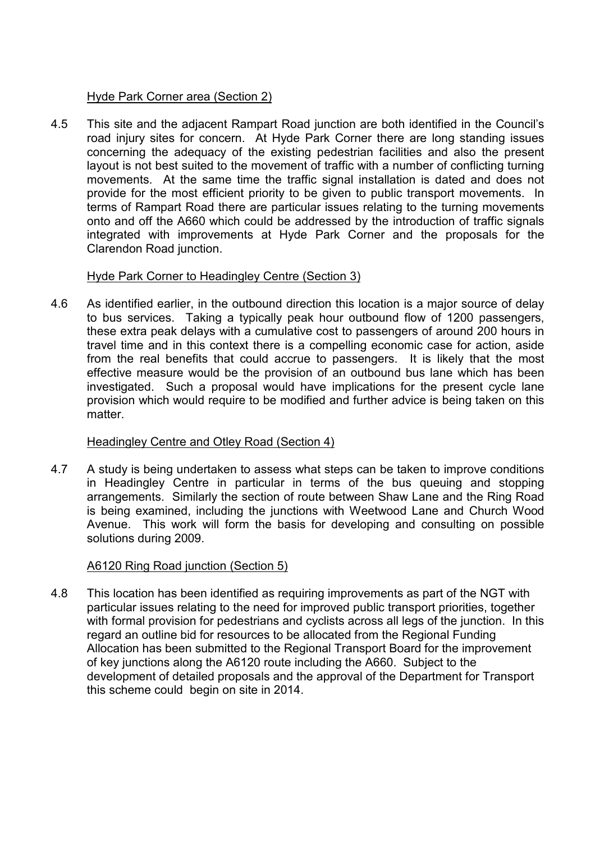### Hyde Park Corner area (Section 2)

4.5 This site and the adjacent Rampart Road junction are both identified in the Council's road injury sites for concern. At Hyde Park Corner there are long standing issues concerning the adequacy of the existing pedestrian facilities and also the present layout is not best suited to the movement of traffic with a number of conflicting turning movements. At the same time the traffic signal installation is dated and does not provide for the most efficient priority to be given to public transport movements. In terms of Rampart Road there are particular issues relating to the turning movements onto and off the A660 which could be addressed by the introduction of traffic signals integrated with improvements at Hyde Park Corner and the proposals for the Clarendon Road junction.

# Hyde Park Corner to Headingley Centre (Section 3)

4.6 As identified earlier, in the outbound direction this location is a major source of delay to bus services. Taking a typically peak hour outbound flow of 1200 passengers, these extra peak delays with a cumulative cost to passengers of around 200 hours in travel time and in this context there is a compelling economic case for action, aside from the real benefits that could accrue to passengers. It is likely that the most effective measure would be the provision of an outbound bus lane which has been investigated. Such a proposal would have implications for the present cycle lane provision which would require to be modified and further advice is being taken on this matter.

# Headingley Centre and Otley Road (Section 4)

4.7 A study is being undertaken to assess what steps can be taken to improve conditions in Headingley Centre in particular in terms of the bus queuing and stopping arrangements. Similarly the section of route between Shaw Lane and the Ring Road is being examined, including the junctions with Weetwood Lane and Church Wood Avenue. This work will form the basis for developing and consulting on possible solutions during 2009.

# A6120 Ring Road junction (Section 5)

4.8 This location has been identified as requiring improvements as part of the NGT with particular issues relating to the need for improved public transport priorities, together with formal provision for pedestrians and cyclists across all legs of the junction. In this regard an outline bid for resources to be allocated from the Regional Funding Allocation has been submitted to the Regional Transport Board for the improvement of key junctions along the A6120 route including the A660. Subject to the development of detailed proposals and the approval of the Department for Transport this scheme could begin on site in 2014.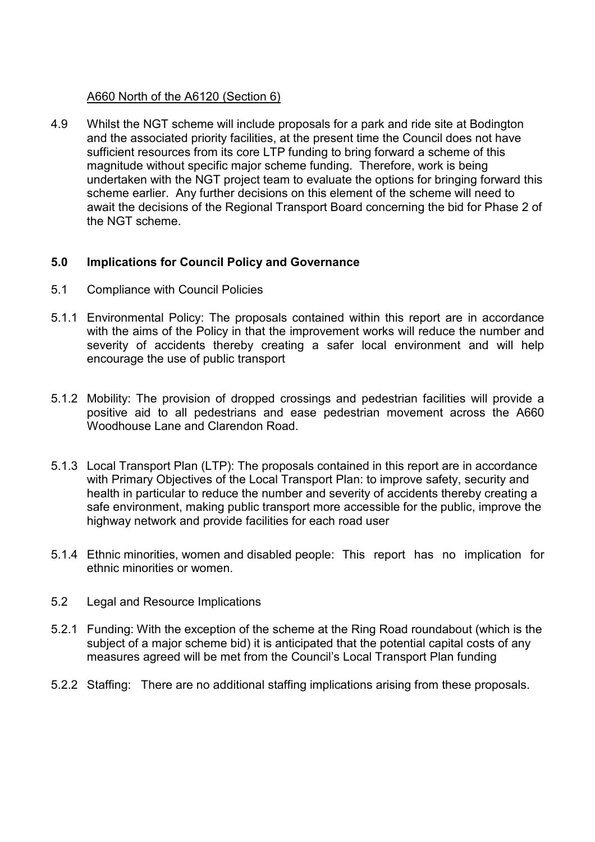#### A660 North of the A6120 (Section 6)

4.9 Whilst the NGT scheme will include proposals for a park and ride site at Bodington and the associated priority facilities, at the present time the Council does not have sufficient resources from its core LTP funding to bring forward a scheme of this magnitude without specific major scheme funding. Therefore, work is being undertaken with the NGT project team to evaluate the options for bringing forward this scheme earlier. Any further decisions on this element of the scheme will need to await the decisions of the Regional Transport Board concerning the bid for Phase 2 of the NGT scheme.

### 5.0 Implications for Council Policy and Governance

- 5.1 Compliance with Council Policies
- 5.1.1 Environmental Policy: The proposals contained within this report are in accordance with the aims of the Policy in that the improvement works will reduce the number and severity of accidents thereby creating a safer local environment and will help encourage the use of public transport
- 5.1.2 Mobility: The provision of dropped crossings and pedestrian facilities will provide a positive aid to all pedestrians and ease pedestrian movement across the A660 Woodhouse Lane and Clarendon Road.
- 5.1.3 Local Transport Plan (LTP): The proposals contained in this report are in accordance with Primary Objectives of the Local Transport Plan: to improve safety, security and health in particular to reduce the number and severity of accidents thereby creating a safe environment, making public transport more accessible for the public, improve the highway network and provide facilities for each road user
- 5.1.4 Ethnic minorities, women and disabled people: This report has no implication for ethnic minorities or women.
- 5.2 Legal and Resource Implications
- 5.2.1 Funding: With the exception of the scheme at the Ring Road roundabout (which is the subject of a major scheme bid) it is anticipated that the potential capital costs of any measures agreed will be met from the Council's Local Transport Plan funding
- 5.2.2 Staffing: There are no additional staffing implications arising from these proposals.